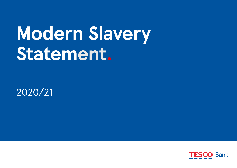# **Modern Slavery Statement.**

2020/21

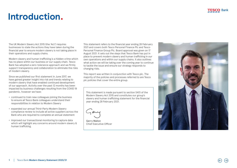### **Introduction.**

The UK Modern Slavery Act 2015 (the 'Act') requires businesses to state the actions they have taken during the financial year to ensure modern slavery is not taking place in their operations and supply chains.

Modern slavery and human trafficking is a hidden crime which has no place within our business or our supply chain. Tesco Bank has adopted a zero-tolerance approach and we firmly support transparency and collaboration to eliminate the risks of modern slavery.

Since we published our first statement in June 2017, we have gained greater insight into risk and trends relating to modern slavery that have enabled continued development of our approach. Activity over the past 12 months has been impacted by business challenges resulting from the COVID 19 pandemic, however we have:

- **•** continued to train new colleagues joining the business to ensure all Tesco Bank colleagues understand their responsibilities in relation to Modern Slavery
- **•** expanded our annual Third-Party Modern Slavery compliance review to include all active suppliers across the Bank who are required to complete an annual statement
- **•** improved our transactional monitoring to capture data which will highlight any concerns around modern slavery & human trafficking.

This statement refers to the financial year ending 28 February 2021 and covers both Tesco Personal Finance Plc and Tesco Personal Finance Group Plc. Board approval was given on 17 August 2021. It sets out the steps that Tesco Bank has put in place to prevent modern slavery and human trafficking in our own operations and within our supply chains. It also outlines what action we will be taking over the coming year to continue to tackle the issue and ensure our strategy responds to changing risks.

This report was written in conjunction with Tesco plc. The majority of the policies and processes referred to are Tesco plc policies that cover the entire group.

This statement is made pursuant to section 54(1) of the Modern Slavery Act 2015 and constitutes our group's slavery and human trafficking statement for the financial year ending 28 February 2021.



Gerry Mallon Chief Executive Officer

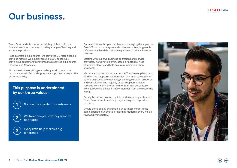### **Our business.**

Tesco Bank, a wholly-owned subsidiary of Tesco plc, is a financial services company providing a range of banking and insurance products.

Headquartered in Edinburgh, we serve the UK retail financial services market. We employ around 3,800 colleagues, serving our customers from three main centres in Edinburgh, Glasgow, and Newcastle.

At the heart of everything our colleagues do is our core purpose - to help Tesco shoppers manage their money a little better every day.

### **This purpose is underpinned by our three values:**



No one tries harder for customers



We treat people how they want to be treated



Every little help makes a big difference

Our major focus this year has been on managing the impact of Covid-19 on our colleagues and customers – keeping people safe and healthy while maintaining access to critical financial services.

Starting with our own business operations and service providers, we work to identify actual or potential risks of modern slavery and help ensure remediation where applicable.

We have a supply chain with around 670 active suppliers, most of which are long-term relationships. Our main categories of purchasing spend are technology, banking services, property, and consultancy. The majority of our suppliers provide services from within the UK, with only a small percentage from Europe and an even smaller number from the rest of the world.

During the period covered by this modern slavery statement Tesco Bank has not made any major change to its product portfolio.

Should there be any changes in our business model in the coming period, our position regarding modern slavery will be reviewed immediately.

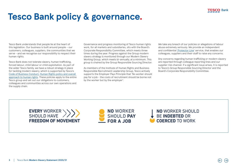## **Tesco Bank policy & governance.**

Tesco Bank understands that people lie at the heart of this legislation. Our business is built around people – our customers, colleagues, suppliers, the communities that we serve - and we recognise our responsibility to respect their human rights.

Tesco Bank does not tolerate slavery, human trafficking, forced labour, child labour or child exploitation. As part of the wider Tesco family, we have a robust strategy in place for tackling modern slavery, which is supported by Tesco's [Code of Business Conduct,](https://www.tescoplc.com/about/how-we-do-business/) [Human Rights policy and overall](https://www.tescoplc.com/little-helps-plan/reports-policies-and-disclosure/human-rights-policy/)  [approach to human rights.](https://www.tescoplc.com/little-helps-plan/reports-policies-and-disclosure/human-rights-policy/) These policies apply to the entire Tesco group and set out our obligations to customers, colleagues and communities across our own operations and the supply chain.

Governance and progress monitoring of Tesco human rights work, for all markets and subsidiaries, sits with the Board's Corporate Responsibility Committee, which meets three times during the year. Progress against the Group modern slavery strategy is monitored through our Modern Slavery Working Group, which meets bi-annually, at a minimum. This group is chaired by the Group Responsible Sourcing Director.

As members of the Institute of Human Rights and Business Responsible Recruitment Leadership Group, Tesco actively supports the Employer Pays Principle that 'No worker should pay for a job - the costs of recruitment should be borne not by the worker but by the employer'.

We take any breach of our policies or allegations of labour abuse extremely seriously. We provide an independent and confidential ['Protector Line'](https://www.tescoplc.com/little-helps-plan/reports-policies-and-disclosure/whistleblowing-policy/) service, that enables our colleagues, suppliers and their staff to raise any concerns.

Any concerns regarding human trafficking or modern slavery are reported through colleague reporting lines and our supplier risk channel. If a significant issue arises, it is reported to Tesco's Group Responsible Sourcing Director and the Board's Corporate Responsibility Committee.

**EVERY WORKER** SHOULD HAVE **FREEDOM OF MOVEMENT** 



**NO WORKER SHOULD** BE INDEBTED OR **COERCED TO WORK**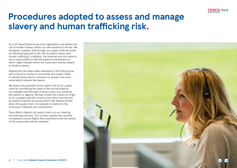

## **Procedures adopted to assess and manage slavery and human trafficking risk.**

As a UK-based financial services organisation, we believe the risk of modern slavery within our own business to be low. We recognise, however, that through our supply chain we could be indirectly exposed to the risk of modern slavery and human trafficking. In addition, the financial services industry has a responsibility to identify patterns and behaviours which might indicate where our customers may be subject to modern slavery.

Aligned with the steps taken elsewhere in the Tesco group, we continue to review our processes and supply chains to identify areas where customers or workers are more vulnerable to abuses like slavery.

We assess the potential human rights risks of our supply chain by considering the types of service provided by our suppliers and the type of labour used, (e.g. seasonal, permanent or agency). We also review the country of origin of our suppliers and the country from which services are provided to identify any issues which may feature further down the supply chain, for example in relation to the sourcing of materials and components.

Tesco Bank's highest risk supply chain is in our catering and cleaning contract. Our current supplier has recently completed a Human Rights Risk Assessment and the results of this assessment will be reviewed.

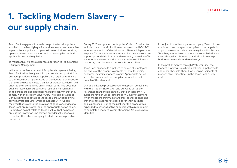# **1. Tackling Modern Slavery – our supply chain.**

Tesco Bank engages with a wide range of external suppliers who help to deliver high quality services to our customers. We expect all our suppliers to operate in an ethical, responsible, open and transparent manner, and to be compliant with all applicable laws and regulations.

To manage this, we have a rigorous approach to Procurement & Supplier Management.

In line with the Procurement & Supplier Management Policy, Tesco Bank will only engage third parties who support ethical business practices. All new suppliers are required to sign up to the Tesco Bank Supplier Code of Conduct (or demonstrate that their own Code meets a similar or greater standard), and attest to their compliance on an annual basis. This document outlines Tesco Bank expectations regarding human rights. Third parties are also specifically asked to confirm that they comply with the Modern Slavery Act. The supplier Code of Conduct provides details of the Tesco Bank whistleblowing service, Protector Line, which is available 24/7. All calls received that relate to the provision of goods or services to Tesco Bank are reviewed, and the appropriate action taken. (Calls which do not relate to Tesco Bank will not be passed on, but the Protector Line service provider will endeavour to contact the caller's company to alert them of a possible concern.)

During 2020 we updated our Supplier Code of Conduct to include contact details for Unseen, who run the UK's 24/7 independent and confidential Modern Slavery & Exploitation Helpline. Through this service, trained helpline advisors can support potential victims of modern slavery, as well as offer a way for businesses and the public to raise suspicions or concerns, complementing our own Protector Line.

Tesco Bank expects its suppliers to ensure all employees are aware of the channels available to them for raising concerns regarding modern slavery. Appropriate action would be taken should any supplier be found to be in breach of this standard.

Our due diligence processes verify suppliers' compliance with the Modern Slavery Act and our Central Supplier Assurance team checks annually that our segment A-D suppliers have an up-to-date Modern Slavery Statement which meets the minimum standards, as well as checking that they have appropriate policies for their business and supply chain. During the past year this process was expanded to cover all active suppliers with a requirement to complete a modern slavery statement. No issues were identified.

In conjunction with our parent company, Tesco plc, we continue to encourage our suppliers to participate in appropriate modern slavery training (including Stronger Together; interactive workshops delivered by industry specialists, which focus on practical skills to equip businesses to tackle modern slavery).

In the past 12 months through Protector Line, the Modern Slavery & Exploitation helpline, supplier visits and other channels, there have been no incidents of modern slavery identified in the Tesco Bank supply chains.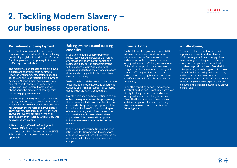# **2. Tackling Modern Slavery – our business operations.**

#### **Recruitment and employment**

Tesco Bank has appropriate recruitment processes and procedures in place, including conducting eligibility to work in the UK checks for all employees, to mitigate against human trafficking or forced labour.

The majority of our colleagues are employed on permanent or fixed-term contracts. However, when temporary staff are needed, Tesco Bank only uses reputable employment agencies. All recruitment agencies are also subject to additional due diligence by our People and Procurement teams, and we always verify the practices of new agencies before engaging any new staff.

We have long-standing relationships with the majority of agencies, and are assured of their practices from previous experience and their reputation in the marketplace. If we engage any temporary staff from agencies, they are always thoroughly checked prior to their appointment by the agency, which safeguards against modern slavery.

All temporary staff are Pre-Employment Screened (PES) in accordance with our permanent and Fixed Term Contractor (FTC) PES standards to ensure consistency of approach.

#### **Raising awareness and building capability**

In addition to having suitable policies in place, Tesco Bank understands that raising awareness of modern slavery across our business is a key part of our commitment to the Modern Slavery Act; ensuring all colleagues understand the drivers of modern slavery and comply with the highest ethical standards and integrity.

We have embedded this in our business via the Tesco Values, our colleague Code of Business Conduct, and training in support of colleague duties under the FCA's Conduct rules.

Over the past year, we have continued to run online training for all new colleagues joining the business, (include Customer Service), to ensure all colleagues are appropriately skilled in the identification of indicators and signs of modern slavery within financial services, and how this should be escalated where appropriate. This training will be updated in 2021 to ensure our case studies remain relevant.

In addition, more focused training has been introduced for Transactional Investigations colleagues to assist them in their roles, as we recognise that risks of modern slavery are complex.

### **Financial Crime**

The Bank takes its regulatory responsibilities extremely seriously and works with law enforcement, other financial institutions and external bodies to combat modern slavery and human trafficking. We are aware of the risk of our products and services being used to facilitate modern slavery and human trafficking. We have implemented and continue to strengthen our controls to identify activity which may be indicative of this activity.

During this reporting period, Transactional Investigations has begun capturing data which will highlight any concerns around modern slavery and human trafficking. In the past 12 months there have been three cases of sustained suspicion of human trafficking, which we have reported to the National Crime Agency.

#### **Whistleblowing**

To ensure that we detect, report, and importantly, prevent modern slavery within our organisation and supply chain, we encourage all colleagues to raise any concerns or suspicions at the earliest possible stage, without fear of reprisal. All colleagues are, therefore, given guidance on our whistleblowing policy and procedures, and have access to an external and anonymous ['Protector Line'.](https://www.tescoplc.com/little-helps-plan/reports-and-policies/whistleblowing-policy/) Contact details for reporting to external organisations are included in the training materials and on our intranet site.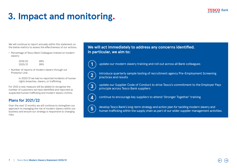# **3. Impact and monitoring.**

We will continue to report annually within this statement on the below metrics to assess the effectiveness of our actions:

**•** Percentage of Tesco Bank Colleagues trained on modern slavery:

> 2019/20 99%<br>2020/21 99% 2020/21

**•** Number of reports of modern slavery through our Protector Line:

> In 2020/21 we had no reported incidents of human rights breaches, slavery, or trafficking.

For 2022 a new measure will be added to recognise the number of customers we have identified and reported as suspected human trafficking and modern slavery victims.

### **Plans for 2021/22**

Over the next 12 months we will continue to strengthen our approach to managing the risk of modern slavery within our business and ensure our strategy is responsive to changing risks.

update our modern slavery training and roll out We will act immediately to address any concerns identified.  $\,$ **In particular, we aim to:**



update our modern slavery training and roll out across all Bank colleagues



Test community of the Employment Screening introduce quarterly sample testing of recruitment agency Pre-Employment Screening<br>practices and results practices and results



**4**

**3**

 $\mathcal{L}_{\text{R}}$  for the modern slavery and human slavery and human slavery and human slavery and human slavery and human slavery  $\mathcal{L}_{\text{R}}$ continue to encourage key suppliers to attend 'Stronger Together' training with the control of the strong stro



develop Tesco Bank's long-term strategy and action plan for tackling modern slavery and human trafficking within the supply chain as part of our wider supplier management activities.